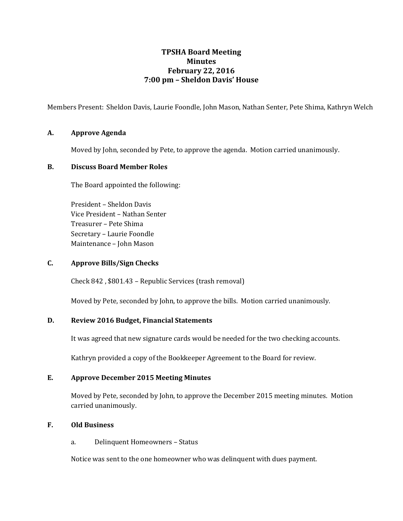# **TPSHA Board Meeting Minutes February 22, 2016 7:00 pm – Sheldon Davis' House**

Members Present: Sheldon Davis, Laurie Foondle, John Mason, Nathan Senter, Pete Shima, Kathryn Welch

# **A. Approve Agenda**

Moved by John, seconded by Pete, to approve the agenda. Motion carried unanimously.

# **B. Discuss Board Member Roles**

The Board appointed the following:

President – Sheldon Davis Vice President – Nathan Senter Treasurer – Pete Shima Secretary – Laurie Foondle Maintenance – John Mason

# **C. Approve Bills/Sign Checks**

Check 842 , \$801.43 – Republic Services (trash removal)

Moved by Pete, seconded by John, to approve the bills. Motion carried unanimously.

### **D. Review 2016 Budget, Financial Statements**

It was agreed that new signature cards would be needed for the two checking accounts.

Kathryn provided a copy of the Bookkeeper Agreement to the Board for review.

### **E. Approve December 2015 Meeting Minutes**

Moved by Pete, seconded by John, to approve the December 2015 meeting minutes. Motion carried unanimously.

### **F. Old Business**

### a. Delinquent Homeowners – Status

Notice was sent to the one homeowner who was delinquent with dues payment.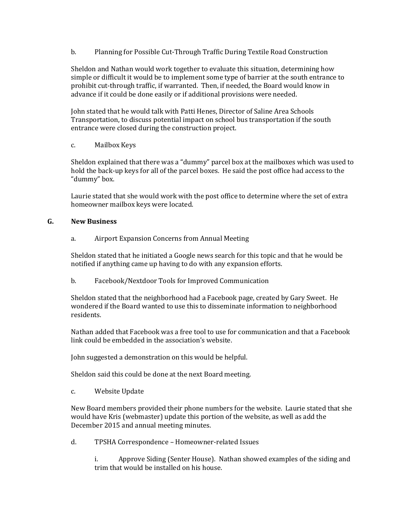b. Planning for Possible Cut-Through Traffic During Textile Road Construction

Sheldon and Nathan would work together to evaluate this situation, determining how simple or difficult it would be to implement some type of barrier at the south entrance to prohibit cut-through traffic, if warranted. Then, if needed, the Board would know in advance if it could be done easily or if additional provisions were needed.

John stated that he would talk with Patti Henes, Director of Saline Area Schools Transportation, to discuss potential impact on school bus transportation if the south entrance were closed during the construction project.

# c. Mailbox Keys

Sheldon explained that there was a "dummy" parcel box at the mailboxes which was used to hold the back-up keys for all of the parcel boxes. He said the post office had access to the "dummy" box.

Laurie stated that she would work with the post office to determine where the set of extra homeowner mailbox keys were located.

# **G. New Business**

a. Airport Expansion Concerns from Annual Meeting

Sheldon stated that he initiated a Google news search for this topic and that he would be notified if anything came up having to do with any expansion efforts.

b. Facebook/Nextdoor Tools for Improved Communication

Sheldon stated that the neighborhood had a Facebook page, created by Gary Sweet. He wondered if the Board wanted to use this to disseminate information to neighborhood residents.

Nathan added that Facebook was a free tool to use for communication and that a Facebook link could be embedded in the association's website.

John suggested a demonstration on this would be helpful.

Sheldon said this could be done at the next Board meeting.

c. Website Update

New Board members provided their phone numbers for the website. Laurie stated that she would have Kris (webmaster) update this portion of the website, as well as add the December 2015 and annual meeting minutes.

d. TPSHA Correspondence – Homeowner-related Issues

i. Approve Siding (Senter House). Nathan showed examples of the siding and trim that would be installed on his house.